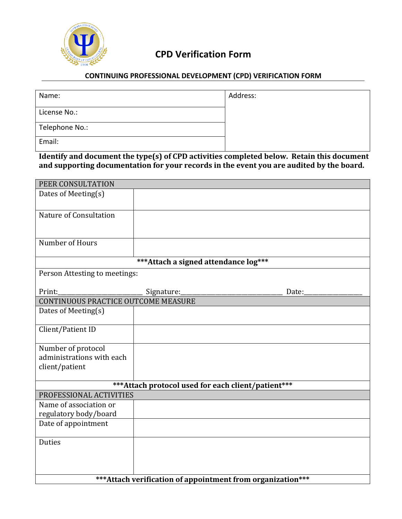

## **CPD Verification Form**

## **CONTINUING PROFESSIONAL DEVELOPMENT (CPD) VERIFICATION FORM**

| Name:          | Address: |
|----------------|----------|
| License No.:   |          |
| Telephone No.: |          |
| Email:         |          |

**Identify and document the type(s) of CPD activities completed below. Retain this document** and supporting documentation for your records in the event you are audited by the board.

| PEER CONSULTATION                                                              |            |       |
|--------------------------------------------------------------------------------|------------|-------|
| Dates of Meeting(s)                                                            |            |       |
|                                                                                |            |       |
| Nature of Consultation                                                         |            |       |
|                                                                                |            |       |
| Number of Hours                                                                |            |       |
|                                                                                |            |       |
| *** Attach a signed attendance log***                                          |            |       |
| Person Attesting to meetings:                                                  |            |       |
|                                                                                |            |       |
| Print:                                                                         | Signature: | Date: |
| <b>CONTINUOUS PRACTICE OUTCOME MEASURE</b>                                     |            |       |
| Dates of Meeting(s)                                                            |            |       |
| Client/Patient ID                                                              |            |       |
| Number of protocol                                                             |            |       |
| administrations with each                                                      |            |       |
| client/patient                                                                 |            |       |
|                                                                                |            |       |
| *** Attach protocol used for each client/patient***<br>PROFESSIONAL ACTIVITIES |            |       |
| Name of association or                                                         |            |       |
| regulatory body/board                                                          |            |       |
| Date of appointment                                                            |            |       |
|                                                                                |            |       |
| <b>Duties</b>                                                                  |            |       |
|                                                                                |            |       |
|                                                                                |            |       |
|                                                                                |            |       |
| *** Attach verification of appointment from organization***                    |            |       |